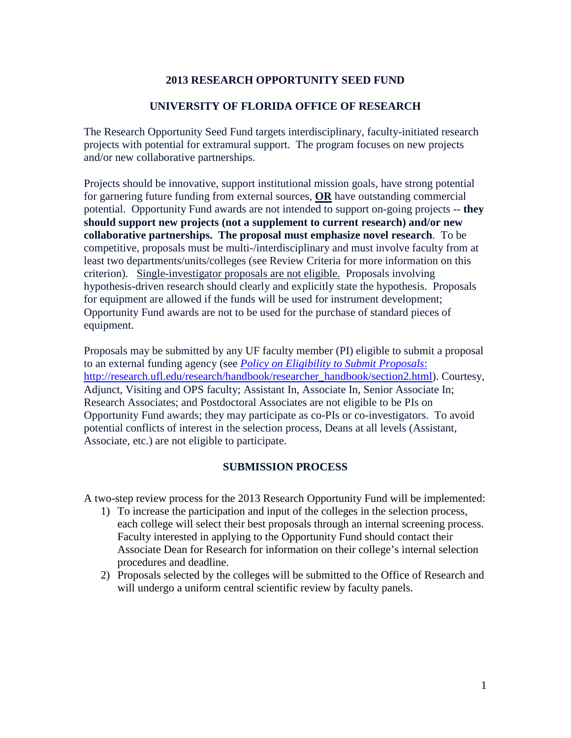## **2013 RESEARCH OPPORTUNITY SEED FUND**

## **UNIVERSITY OF FLORIDA OFFICE OF RESEARCH**

The Research Opportunity Seed Fund targets interdisciplinary, faculty-initiated research projects with potential for extramural support. The program focuses on new projects and/or new collaborative partnerships.

Projects should be innovative, support institutional mission goals, have strong potential for garnering future funding from external sources, **OR** have outstanding commercial potential. Opportunity Fund awards are not intended to support on-going projects -- **they should support new projects (not a supplement to current research) and/or new collaborative partnerships. The proposal must emphasize novel research**. To be competitive, proposals must be multi-/interdisciplinary and must involve faculty from at least two departments/units/colleges (see Review Criteria for more information on this criterion). Single-investigator proposals are not eligible. Proposals involving hypothesis-driven research should clearly and explicitly state the hypothesis. Proposals for equipment are allowed if the funds will be used for instrument development; Opportunity Fund awards are not to be used for the purchase of standard pieces of equipment.

Proposals may be submitted by any UF faculty member (PI) eligible to submit a proposal to an external funding agency (see *[Policy on Eligibility to Submit Proposals](http://rgp.ufl.edu/research/handbook/researcher_handbook/section2.html)*: [http://research.ufl.edu/research/handbook/researcher\\_handbook/section2.html\)](http://rgp.ufl.edu/research/handbook/researcher_handbook/section2.html). Courtesy, Adjunct, Visiting and OPS faculty; Assistant In, Associate In, Senior Associate In; Research Associates; and Postdoctoral Associates are not eligible to be PIs on Opportunity Fund awards; they may participate as co-PIs or co-investigators. To avoid potential conflicts of interest in the selection process, Deans at all levels (Assistant, Associate, etc.) are not eligible to participate.

#### **SUBMISSION PROCESS**

A two-step review process for the 2013 Research Opportunity Fund will be implemented:

- 1) To increase the participation and input of the colleges in the selection process, each college will select their best proposals through an internal screening process. Faculty interested in applying to the Opportunity Fund should contact their Associate Dean for Research for information on their college's internal selection procedures and deadline.
- 2) Proposals selected by the colleges will be submitted to the Office of Research and will undergo a uniform central scientific review by faculty panels.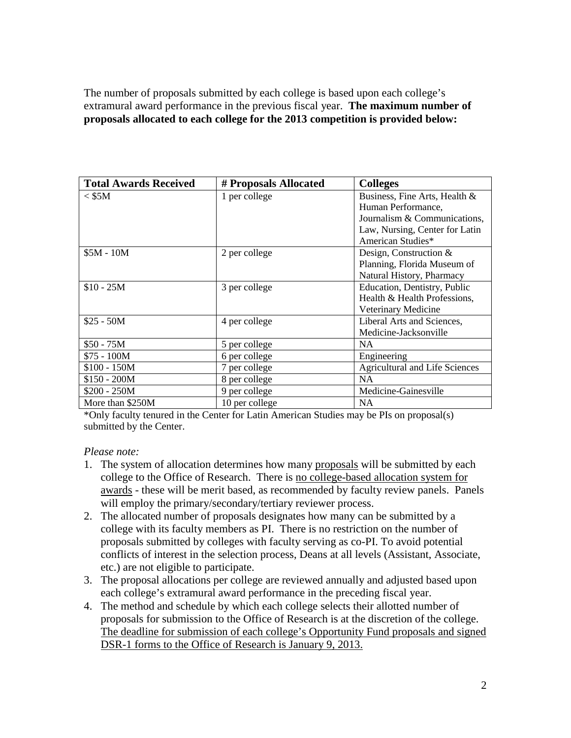The number of proposals submitted by each college is based upon each college's extramural award performance in the previous fiscal year. **The maximum number of proposals allocated to each college for the 2013 competition is provided below:** 

| <b>Total Awards Received</b> | # Proposals Allocated | <b>Colleges</b>                       |
|------------------------------|-----------------------|---------------------------------------|
| $<$ \$5M                     | 1 per college         | Business, Fine Arts, Health &         |
|                              |                       | Human Performance,                    |
|                              |                       | Journalism & Communications,          |
|                              |                       | Law, Nursing, Center for Latin        |
|                              |                       | American Studies*                     |
| $$5M - 10M$                  | 2 per college         | Design, Construction $&$              |
|                              |                       | Planning, Florida Museum of           |
|                              |                       | Natural History, Pharmacy             |
| $$10 - 25M$                  | 3 per college         | Education, Dentistry, Public          |
|                              |                       | Health & Health Professions,          |
|                              |                       | Veterinary Medicine                   |
| $$25 - 50M$                  | 4 per college         | Liberal Arts and Sciences,            |
|                              |                       | Medicine-Jacksonville                 |
| $$50 - 75M$                  | 5 per college         | <b>NA</b>                             |
| $$75 - 100M$                 | 6 per college         | Engineering                           |
| $$100 - 150M$                | 7 per college         | <b>Agricultural and Life Sciences</b> |
| $$150 - 200M$                | 8 per college         | NA                                    |
| $$200 - 250M$                | 9 per college         | Medicine-Gainesville                  |
| More than \$250M             | 10 per college        | <b>NA</b>                             |

\*Only faculty tenured in the Center for Latin American Studies may be PIs on proposal(s) submitted by the Center.

#### *Please note:*

- 1. The system of allocation determines how many proposals will be submitted by each college to the Office of Research. There is no college-based allocation system for awards - these will be merit based, as recommended by faculty review panels. Panels will employ the primary/secondary/tertiary reviewer process.
- 2. The allocated number of proposals designates how many can be submitted by a college with its faculty members as PI. There is no restriction on the number of proposals submitted by colleges with faculty serving as co-PI. To avoid potential conflicts of interest in the selection process, Deans at all levels (Assistant, Associate, etc.) are not eligible to participate.
- 3. The proposal allocations per college are reviewed annually and adjusted based upon each college's extramural award performance in the preceding fiscal year.
- 4. The method and schedule by which each college selects their allotted number of proposals for submission to the Office of Research is at the discretion of the college. The deadline for submission of each college's Opportunity Fund proposals and signed DSR-1 forms to the Office of Research is January 9, 2013.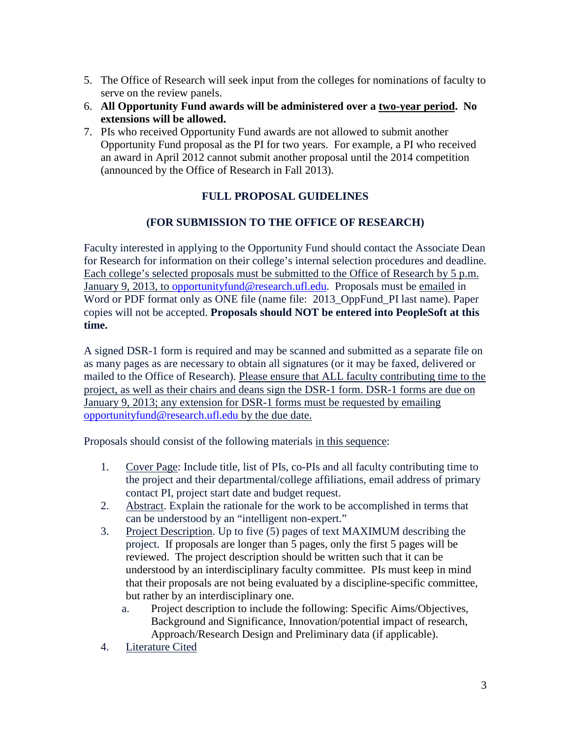- 5. The Office of Research will seek input from the colleges for nominations of faculty to serve on the review panels.
- 6. **All Opportunity Fund awards will be administered over a two-year period. No extensions will be allowed.**
- 7. PIs who received Opportunity Fund awards are not allowed to submit another Opportunity Fund proposal as the PI for two years. For example, a PI who received an award in April 2012 cannot submit another proposal until the 2014 competition (announced by the Office of Research in Fall 2013).

# **FULL PROPOSAL GUIDELINES**

## **(FOR SUBMISSION TO THE OFFICE OF RESEARCH)**

Faculty interested in applying to the Opportunity Fund should contact the Associate Dean for Research for information on their college's internal selection procedures and deadline. Each college's selected proposals must be submitted to the Office of Research by 5 p.m. January 9, 2013, to [opportunityfund@research.ufl.edu.](mailto:opportunityfund@research.ufl.edu) Proposals must be emailed in Word or PDF format only as ONE file (name file: 2013\_OppFund\_PI last name). Paper copies will not be accepted. **Proposals should NOT be entered into PeopleSoft at this time.**

A signed DSR-1 form is required and may be scanned and submitted as a separate file on as many pages as are necessary to obtain all signatures (or it may be faxed, delivered or mailed to the Office of Research). Please ensure that ALL faculty contributing time to the project, as well as their chairs and deans sign the DSR-1 form. DSR-1 forms are due on January 9, 2013; any extension for DSR-1 forms must be requested by emailing [opportunityfund@research.ufl.edu](mailto:opportunityfund@research.ufl.edu) by the due date.

Proposals should consist of the following materials in this sequence:

- 1. Cover Page: Include title, list of PIs, co-PIs and all faculty contributing time to the project and their departmental/college affiliations, email address of primary contact PI, project start date and budget request.
- 2. Abstract. Explain the rationale for the work to be accomplished in terms that can be understood by an "intelligent non-expert."
- 3. Project Description. Up to five (5) pages of text MAXIMUM describing the project. If proposals are longer than 5 pages, only the first 5 pages will be reviewed. The project description should be written such that it can be understood by an interdisciplinary faculty committee. PIs must keep in mind that their proposals are not being evaluated by a discipline-specific committee, but rather by an interdisciplinary one.
	- a. Project description to include the following: Specific Aims/Objectives, Background and Significance, Innovation/potential impact of research, Approach/Research Design and Preliminary data (if applicable).
- 4. Literature Cited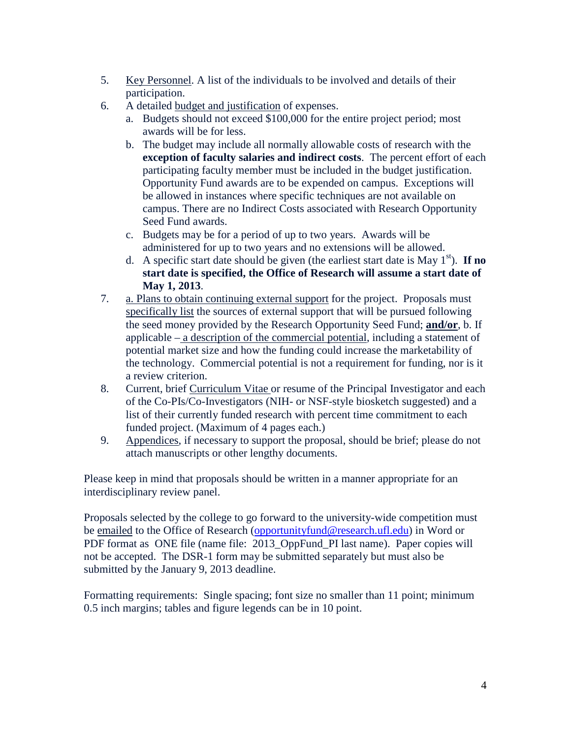- 5. Key Personnel. A list of the individuals to be involved and details of their participation.
- 6. A detailed budget and justification of expenses.
	- a. Budgets should not exceed \$100,000 for the entire project period; most awards will be for less.
	- b. The budget may include all normally allowable costs of research with the **exception of faculty salaries and indirect costs**. The percent effort of each participating faculty member must be included in the budget justification. Opportunity Fund awards are to be expended on campus. Exceptions will be allowed in instances where specific techniques are not available on campus. There are no Indirect Costs associated with Research Opportunity Seed Fund awards.
	- c. Budgets may be for a period of up to two years. Awards will be administered for up to two years and no extensions will be allowed.
	- d. A specific start date should be given (the earliest start date is May  $1<sup>st</sup>$ ). **If no start date is specified, the Office of Research will assume a start date of May 1, 2013**.
- 7. a. Plans to obtain continuing external support for the project. Proposals must specifically list the sources of external support that will be pursued following the seed money provided by the Research Opportunity Seed Fund; **and/or**, b. If applicable  $-\underline{\mathbf{a}}$  description of the commercial potential, including a statement of potential market size and how the funding could increase the marketability of the technology. Commercial potential is not a requirement for funding, nor is it a review criterion.
- 8. Current, brief Curriculum Vitae or resume of the Principal Investigator and each of the Co-PIs/Co-Investigators (NIH- or NSF-style biosketch suggested) and a list of their currently funded research with percent time commitment to each funded project. (Maximum of 4 pages each.)
- 9. Appendices*,* if necessary to support the proposal, should be brief; please do not attach manuscripts or other lengthy documents.

Please keep in mind that proposals should be written in a manner appropriate for an interdisciplinary review panel.

Proposals selected by the college to go forward to the university-wide competition must be emailed to the Office of Research [\(opportunityfund@research.ufl.edu\)](mailto:opportunityfund@research.ufl.edu) in Word or PDF format as ONE file (name file: 2013 OppFund PI last name). Paper copies will not be accepted. The DSR-1 form may be submitted separately but must also be submitted by the January 9, 2013 deadline.

Formatting requirements: Single spacing; font size no smaller than 11 point; minimum 0.5 inch margins; tables and figure legends can be in 10 point.